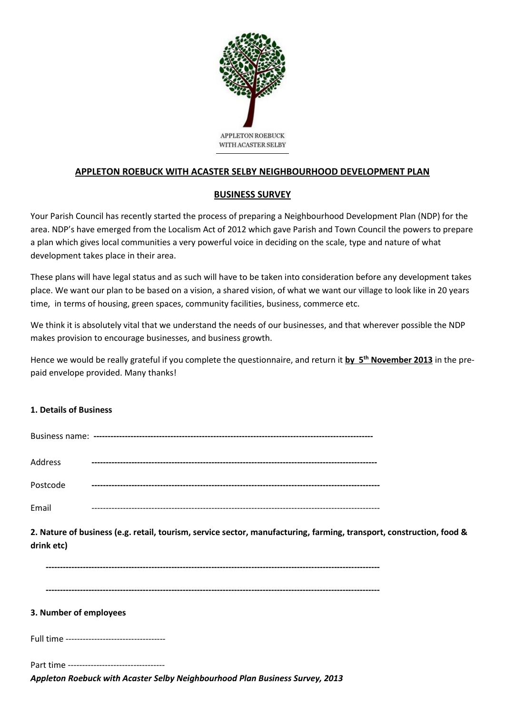

# **APPLETON ROEBUCK WITH ACASTER SELBY NEIGHBOURHOOD DEVELOPMENT PLAN**

## **BUSINESS SURVEY**

Your Parish Council has recently started the process of preparing a Neighbourhood Development Plan (NDP) for the area. NDP's have emerged from the Localism Act of 2012 which gave Parish and Town Council the powers to prepare a plan which gives local communities a very powerful voice in deciding on the scale, type and nature of what development takes place in their area.

These plans will have legal status and as such will have to be taken into consideration before any development takes place. We want our plan to be based on a vision, a shared vision, of what we want our village to look like in 20 years time, in terms of housing, green spaces, community facilities, business, commerce etc.

We think it is absolutely vital that we understand the needs of our businesses, and that wherever possible the NDP makes provision to encourage businesses, and business growth.

Hence we would be really grateful if you complete the questionnaire, and return it **by 5 th November 2013** in the prepaid envelope provided. Many thanks!

## **1. Details of Business**

| Address  |  |
|----------|--|
| Postcode |  |
| Email    |  |

**2. Nature of business (e.g. retail, tourism, service sector, manufacturing, farming, transport, construction, food & drink etc)**

#### **3. Number of employees**

Full time -----------------------------------

Part time ----------------------------------

*Appleton Roebuck with Acaster Selby Neighbourhood Plan Business Survey, 2013*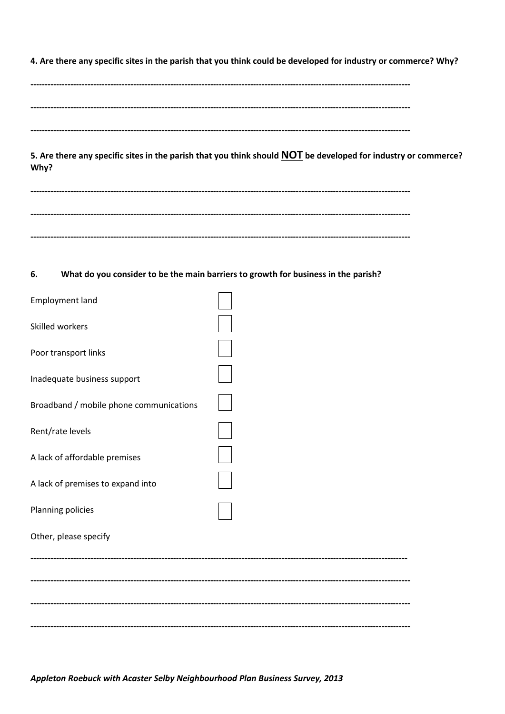4. Are there any specific sites in the parish that you think could be developed for industry or commerce? Why?

5. Are there any specific sites in the parish that you think should NOT be developed for industry or commerce? Why?

#### 6. What do you consider to be the main barriers to growth for business in the parish?

| Employment land                         |  |
|-----------------------------------------|--|
| Skilled workers                         |  |
| Poor transport links                    |  |
| Inadequate business support             |  |
| Broadband / mobile phone communications |  |
| Rent/rate levels                        |  |
| A lack of affordable premises           |  |
| A lack of premises to expand into       |  |
| Planning policies                       |  |
| Other, please specify                   |  |
|                                         |  |
|                                         |  |
|                                         |  |
|                                         |  |